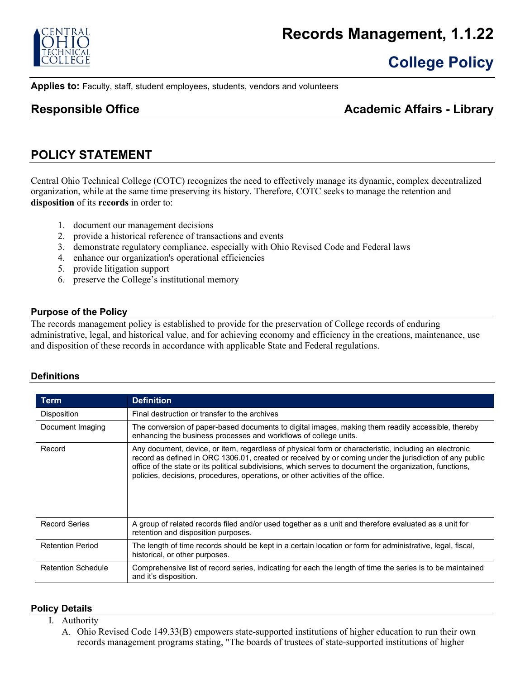

# **College Policy**

**Applies to:** Faculty, staff, student employees, students, vendors and volunteers

### **Responsible Office Academic Affairs - Library Academic Affairs - Library**

### **POLICY STATEMENT**

Central Ohio Technical College (COTC) recognizes the need to effectively manage its dynamic, complex decentralized organization, while at the same time preserving its history. Therefore, COTC seeks to manage the retention and **disposition** of its **records** in order to:

- 1. document our management decisions
- 2. provide a historical reference of transactions and events
- 3. demonstrate regulatory compliance, especially with Ohio Revised Code and Federal laws
- 4. enhance our organization's operational efficiencies
- 5. provide litigation support
- 6. preserve the College's institutional memory

### **Purpose of the Policy**

The records management policy is established to provide for the preservation of College records of enduring administrative, legal, and historical value, and for achieving economy and efficiency in the creations, maintenance, use and disposition of these records in accordance with applicable State and Federal regulations.

### **Definitions**

| Term                      | <b>Definition</b>                                                                                                                                                                                                                                                                                                                                                                                               |
|---------------------------|-----------------------------------------------------------------------------------------------------------------------------------------------------------------------------------------------------------------------------------------------------------------------------------------------------------------------------------------------------------------------------------------------------------------|
| Disposition               | Final destruction or transfer to the archives                                                                                                                                                                                                                                                                                                                                                                   |
| Document Imaging          | The conversion of paper-based documents to digital images, making them readily accessible, thereby<br>enhancing the business processes and workflows of college units.                                                                                                                                                                                                                                          |
| Record                    | Any document, device, or item, regardless of physical form or characteristic, including an electronic<br>record as defined in ORC 1306.01, created or received by or coming under the jurisdiction of any public<br>office of the state or its political subdivisions, which serves to document the organization, functions,<br>policies, decisions, procedures, operations, or other activities of the office. |
| <b>Record Series</b>      | A group of related records filed and/or used together as a unit and therefore evaluated as a unit for<br>retention and disposition purposes.                                                                                                                                                                                                                                                                    |
| <b>Retention Period</b>   | The length of time records should be kept in a certain location or form for administrative, legal, fiscal,<br>historical, or other purposes.                                                                                                                                                                                                                                                                    |
| <b>Retention Schedule</b> | Comprehensive list of record series, indicating for each the length of time the series is to be maintained<br>and it's disposition.                                                                                                                                                                                                                                                                             |

### **Policy Details**

- I. Authority
	- A. Ohio Revised Code 149.33(B) empowers state-supported institutions of higher education to run their own records management programs stating, "The boards of trustees of state-supported institutions of higher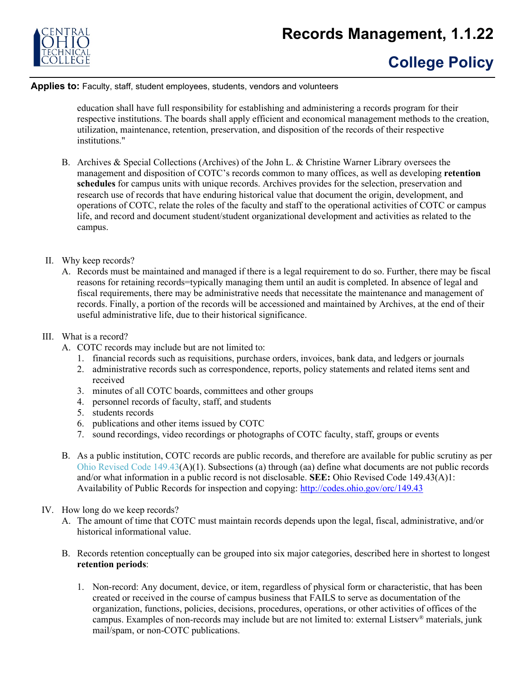

# **College Policy**

#### **Applies to:** Faculty, staff, student employees, students, vendors and volunteers

education shall have full responsibility for establishing and administering a records program for their respective institutions. The boards shall apply efficient and economical management methods to the creation, utilization, maintenance, retention, preservation, and disposition of the records of their respective institutions."

- B. Archives & Special Collections (Archives) of the John L. & Christine Warner Library oversees the management and disposition of COTC's records common to many offices, as well as developing **retention schedules** for campus units with unique records. Archives provides for the selection, preservation and research use of records that have enduring historical value that document the origin, development, and operations of COTC, relate the roles of the faculty and staff to the operational activities of COTC or campus life, and record and document student/student organizational development and activities as related to the campus.
- II. Why keep records?
	- A. Records must be maintained and managed if there is a legal requirement to do so. Further, there may be fiscal reasons for retaining records=typically managing them until an audit is completed. In absence of legal and fiscal requirements, there may be administrative needs that necessitate the maintenance and management of records. Finally, a portion of the records will be accessioned and maintained by Archives, at the end of their useful administrative life, due to their historical significance.
- III. What is a record?
	- A. COTC records may include but are not limited to:
		- 1. financial records such as requisitions, purchase orders, invoices, bank data, and ledgers or journals
		- 2. administrative records such as correspondence, reports, policy statements and related items sent and received
		- 3. minutes of all COTC boards, committees and other groups
		- 4. personnel records of faculty, staff, and students
		- 5. students records
		- 6. publications and other items issued by COTC
		- 7. sound recordings, video recordings or photographs of COTC faculty, staff, groups or events
	- B. As a public institution, COTC records are public records, and therefore are available for public scrutiny as per Ohio Revised Code 149.43(A)(1). Subsections (a) through (aa) define what documents are not public records and/or what information in a public record is not disclosable. **SEE:** Ohio Revised Code 149.43(A)1: Availability of Public Records for inspection and copying:<http://codes.ohio.gov/orc/149.43>
- IV. How long do we keep records?
	- A. The amount of time that COTC must maintain records depends upon the legal, fiscal, administrative, and/or historical informational value.
	- B. Records retention conceptually can be grouped into six major categories, described here in shortest to longest **retention periods**:
		- 1. Non-record: Any document, device, or item, regardless of physical form or characteristic, that has been created or received in the course of campus business that FAILS to serve as documentation of the organization, functions, policies, decisions, procedures, operations, or other activities of offices of the campus. Examples of non-records may include but are not limited to: external Listserv<sup>®</sup> materials, junk mail/spam, or non-COTC publications.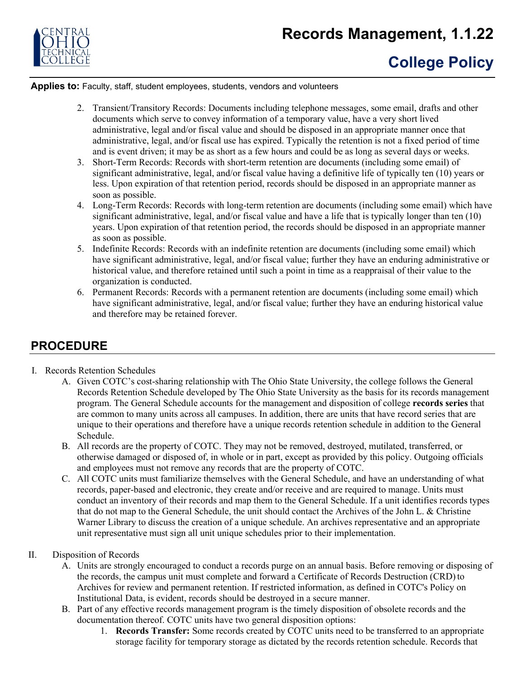

**Applies to:** Faculty, staff, student employees, students, vendors and volunteers

- 2. Transient/Transitory Records: Documents including telephone messages, some email, drafts and other documents which serve to convey information of a temporary value, have a very short lived administrative, legal and/or fiscal value and should be disposed in an appropriate manner once that administrative, legal, and/or fiscal use has expired. Typically the retention is not a fixed period of time and is event driven; it may be as short as a few hours and could be as long as several days or weeks.
- 3. Short-Term Records: Records with short-term retention are documents (including some email) of significant administrative, legal, and/or fiscal value having a definitive life of typically ten (10) years or less. Upon expiration of that retention period, records should be disposed in an appropriate manner as soon as possible.
- 4. Long-Term Records: Records with long-term retention are documents (including some email) which have significant administrative, legal, and/or fiscal value and have a life that is typically longer than ten (10) years. Upon expiration of that retention period, the records should be disposed in an appropriate manner as soon as possible.
- 5. Indefinite Records: Records with an indefinite retention are documents (including some email) which have significant administrative, legal, and/or fiscal value; further they have an enduring administrative or historical value, and therefore retained until such a point in time as a reappraisal of their value to the organization is conducted.
- 6. Permanent Records: Records with a permanent retention are documents (including some email) which have significant administrative, legal, and/or fiscal value; further they have an enduring historical value and therefore may be retained forever.

## **PROCEDURE**

- I. Records Retention Schedules
	- A. Given COTC's cost-sharing relationship with The Ohio State University, the college follows the General Records Retention Schedule developed by The Ohio State University as the basis for its records management program. The General Schedule accounts for the management and disposition of college **records series** that are common to many units across all campuses. In addition, there are units that have record series that are unique to their operations and therefore have a unique records retention schedule in addition to the General Schedule.
	- B. All records are the property of COTC. They may not be removed, destroyed, mutilated, transferred, or otherwise damaged or disposed of, in whole or in part, except as provided by this policy. Outgoing officials and employees must not remove any records that are the property of COTC.
	- C. All COTC units must familiarize themselves with the General Schedule, and have an understanding of what records, paper-based and electronic, they create and/or receive and are required to manage. Units must conduct an inventory of their records and map them to the General Schedule. If a unit identifies records types that do not map to the General Schedule, the unit should contact the Archives of the John L. & Christine Warner Library to discuss the creation of a unique schedule. An archives representative and an appropriate unit representative must sign all unit unique schedules prior to their implementation.

### II. Disposition of Records

- A. Units are strongly encouraged to conduct a records purge on an annual basis. Before removing or disposing of the records, the campus unit must complete and forward a Certificate of Records Destruction (CRD) to Archives for review and permanent retention. If restricted information, as defined in COTC's Policy on Institutional Data, is evident, records should be destroyed in a secure manner.
- B. Part of any effective records management program is the timely disposition of obsolete records and the documentation thereof. COTC units have two general disposition options:
	- 1. **Records Transfer:** Some records created by COTC units need to be transferred to an appropriate storage facility for temporary storage as dictated by the records retention schedule. Records that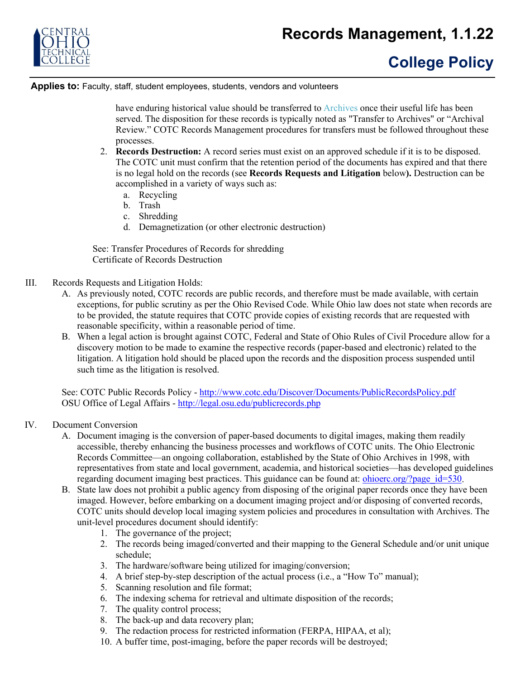

**Applies to:** Faculty, staff, student employees, students, vendors and volunteers

have enduring historical value should be transferred to Archives once their useful life has been served. The disposition for these records is typically noted as "Transfer to Archives" or "Archival Review." COTC Records Management procedures for transfers must be followed throughout these processes.

- 2. **Records Destruction:** A record series must exist on an approved schedule if it is to be disposed. The COTC unit must confirm that the retention period of the documents has expired and that there is no legal hold on the records (see **Records Requests and Litigation** below**).** Destruction can be accomplished in a variety of ways such as:
	- a. Recycling
	- b. Trash
	- c. Shredding
	- d. Demagnetization (or other electronic destruction)

See: Transfer Procedures of Records for shredding Certificate of Records Destruction

- III. Records Requests and Litigation Holds:
	- A. As previously noted, COTC records are public records, and therefore must be made available, with certain exceptions, for public scrutiny as per the Ohio Revised Code. While Ohio law does not state when records are to be provided, the statute requires that COTC provide copies of existing records that are requested with reasonable specificity, within a reasonable period of time.
	- B. When a legal action is brought against COTC, Federal and State of Ohio Rules of Civil Procedure allow for a discovery motion to be made to examine the respective records (paper-based and electronic) related to the litigation. A litigation hold should be placed upon the records and the disposition process suspended until such time as the litigation is resolved.

See: COTC Public Records Policy - http://www.cotc.edu/Discover/Documents/PublicRecordsPolicy.pdf OSU Office of Legal Affairs - <http://legal.osu.edu/publicrecords.php>

- IV. Document Conversion
	- A. Document imaging is the conversion of paper-based documents to digital images, making them readily accessible, thereby enhancing the business processes and workflows of COTC units. The Ohio Electronic Records Committee—an ongoing collaboration, established by the State of Ohio Archives in 1998, with representatives from state and local government, academia, and historical societies—has developed guidelines regarding document imaging best practices. This guidance can be found at: ohioerc.org/?page id=530.
	- B. State law does not prohibit a public agency from disposing of the original paper records once they have been imaged. However, before embarking on a document imaging project and/or disposing of converted records, COTC units should develop local imaging system policies and procedures in consultation with Archives. The unit-level procedures document should identify:
		- 1. The governance of the project;
		- 2. The records being imaged/converted and their mapping to the General Schedule and/or unit unique schedule;
		- 3. The hardware/software being utilized for imaging/conversion;
		- 4. A brief step-by-step description of the actual process (i.e., a "How To" manual);
		- 5. Scanning resolution and file format;
		- 6. The indexing schema for retrieval and ultimate disposition of the records;
		- 7. The quality control process;
		- 8. The back-up and data recovery plan;
		- 9. The redaction process for restricted information (FERPA, HIPAA, et al);
		- 10. A buffer time, post-imaging, before the paper records will be destroyed;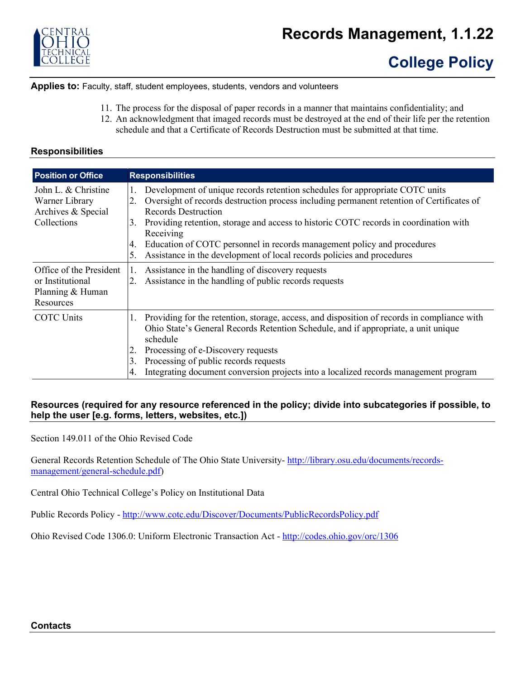

# **College Policy**

**Applies to:** Faculty, staff, student employees, students, vendors and volunteers

- 11. The process for the disposal of paper records in a manner that maintains confidentiality; and
- 12. An acknowledgment that imaged records must be destroyed at the end of their life per the retention schedule and that a Certificate of Records Destruction must be submitted at that time.

### **Responsibilities**

| <b>Position or Office</b>                                                    | <b>Responsibilities</b>                                                                                                                                                                                                                                                                                                                                                                                                                                                                          |
|------------------------------------------------------------------------------|--------------------------------------------------------------------------------------------------------------------------------------------------------------------------------------------------------------------------------------------------------------------------------------------------------------------------------------------------------------------------------------------------------------------------------------------------------------------------------------------------|
| John L. & Christine<br>Warner Library<br>Archives & Special<br>Collections   | Development of unique records retention schedules for appropriate COTC units<br>1.<br>Oversight of records destruction process including permanent retention of Certificates of<br>2.<br><b>Records Destruction</b><br>Providing retention, storage and access to historic COTC records in coordination with<br>3.<br>Receiving<br>Education of COTC personnel in records management policy and procedures<br>4.<br>Assistance in the development of local records policies and procedures<br>5. |
| Office of the President<br>or Institutional<br>Planning & Human<br>Resources | Assistance in the handling of discovery requests<br>1.<br>Assistance in the handling of public records requests                                                                                                                                                                                                                                                                                                                                                                                  |
| <b>COTC Units</b>                                                            | Providing for the retention, storage, access, and disposition of records in compliance with<br>1.<br>Ohio State's General Records Retention Schedule, and if appropriate, a unit unique<br>schedule<br>Processing of e-Discovery requests<br>2.<br>Processing of public records requests<br>3.<br>Integrating document conversion projects into a localized records management program<br>4.                                                                                                     |

### **Resources (required for any resource referenced in the policy; divide into subcategories if possible, to help the user [e.g. forms, letters, websites, etc.])**

Section 149.011 of the Ohio Revised Code

General Records Retention Schedule of The Ohio State University- [http://library.osu.edu/documents/records](http://library.osu.edu/documents/records-management/general-schedule.pdf)[management/general-schedule.pdf\)](http://library.osu.edu/documents/records-management/general-schedule.pdf)

Central Ohio Technical College's Policy on Institutional Data

Public Records Policy - <http://www.cotc.edu/Discover/Documents/PublicRecordsPolicy.pdf>

Ohio Revised Code 1306.0: Uniform Electronic Transaction Act - <http://codes.ohio.gov/orc/1306>